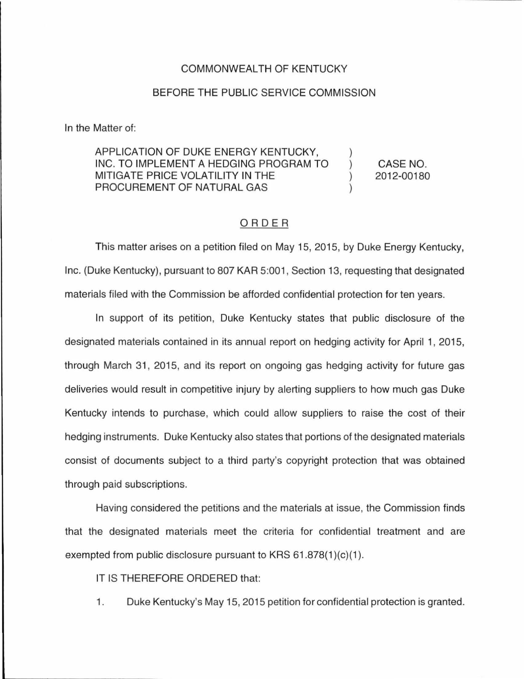## COMMONWEALTH OF KENTUCKY

## BEFORE THE PUBLIC SERVICE COMMISSION

In the Matter of:

## APPLICATION OF DUKE ENERGY KENTUCKY, INC. TO IMPLEMENT A HEDGING PROGRAM TO MITIGATE PRICE VOLATILITY IN THE PROCUREMENT OF NATURAL GAS

CASE NO. 2012-00180

## ORDER

This matter arises on a petition filed on May 15, 2015, by Duke Energy Kentucky, Inc. (Duke Kentucky), pursuant to 807 KAR 5:001 , Section 13, requesting that designated materials filed with the Commission be afforded confidential protection for ten years.

In support of its petition, Duke Kentucky states that public disclosure of the designated materials contained in its annual report on hedging activity for April 1, 2015, through March 31, 2015, and its report on ongoing gas hedging activity for future gas deliveries would result in competitive injury by alerting suppliers to how much gas Duke Kentucky intends to purchase, which could allow suppliers to raise the cost of their hedging instruments. Duke Kentucky also states that portions of the designated materials consist of documents subject to a third party's copyright protection that was obtained through paid subscriptions.

Having considered the petitions and the materials at issue, the Commission finds that the designated materials meet the criteria for confidential treatment and are exempted from public disclosure pursuant to KRS  $61.878(1)(c)(1)$ .

IT IS THEREFORE ORDERED that:

1. Duke Kentucky's May 15, 2015 petition for confidential protection is granted.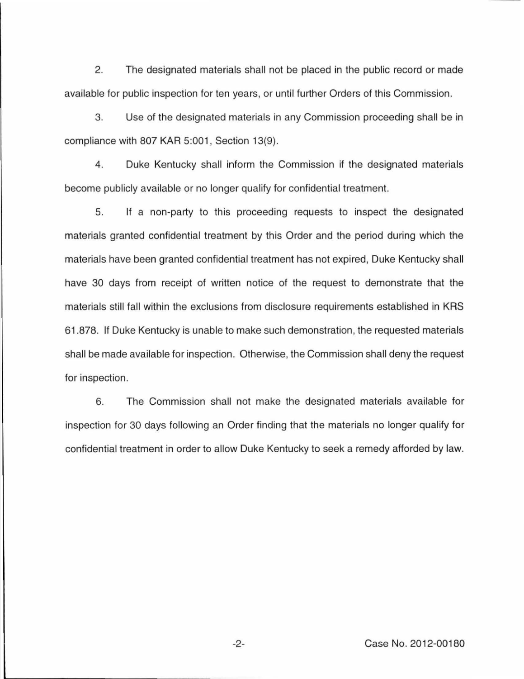2. The designated materials shall not be placed in the public record or made available for public inspection for ten years, or until further Orders of this Commission.

3. Use of the designated materials in any Commission proceeding shall be in compliance with 807 KAR 5:001, Section 13(9).

4. Duke Kentucky shall inform the Commission if the designated materials become publicly available or no longer qualify for confidential treatment.

5. If a non-party to this proceeding requests to inspect the designated materials granted confidential treatment by this Order and the period during which the materials have been granted confidential treatment has not expired, Duke Kentucky shall have 30 days from receipt of written notice of the request to demonstrate that the materials still fall within the exclusions from disclosure requirements established in KRS 61.878. If Duke Kentucky is unable to make such demonstration, the requested materials shall be made available for inspection. Otherwise, the Commission shall deny the request for inspection.

6. The Commission shall not make the designated materials available for inspection for 30 days following an Order finding that the materials no longer qualify for confidential treatment in order to allow Duke Kentucky to seek a remedy afforded by law.

-2- Case No. 2012-00180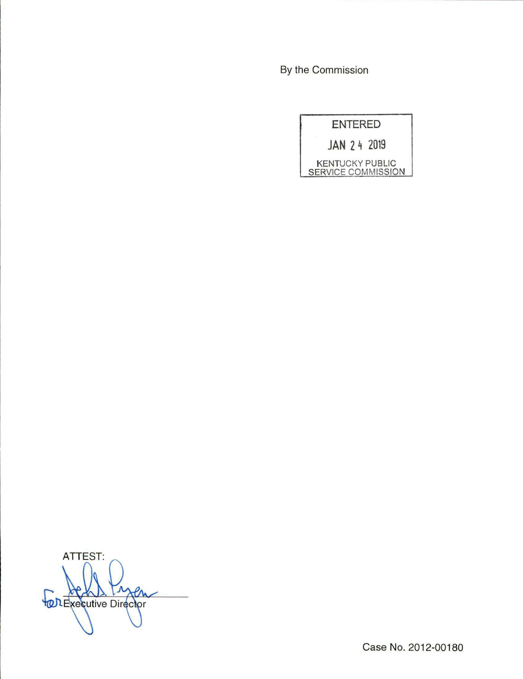By the Commission

|                           | <b>ENTERED</b> |                        |
|---------------------------|----------------|------------------------|
|                           |                | JAN 24 2019            |
| <b>SERVICE COMMISSION</b> |                | <b>KENTUCKY PUBLIC</b> |

ATTEST: FOREXECUTIVE Director

Case No. 2012-00180